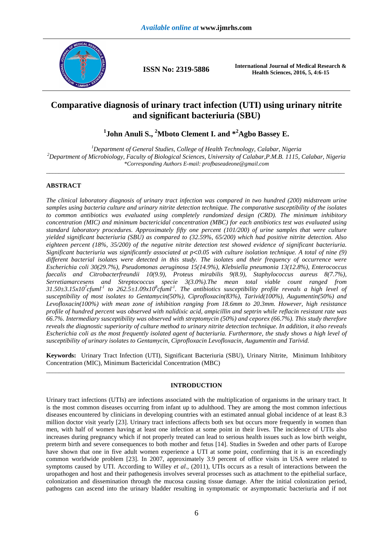

**ISSN No: 2319-5886 International Journal of Medical Research & Health Sciences, 2016, 5, 4:6-15** 

## **Comparative diagnosis of urinary tract infection (UTI) using urinary nitrite and significant bacteriuria (SBU)**

**1 John Anuli S., <sup>2</sup>Mboto Clement I. and \*<sup>2</sup>Agbo Bassey E.** 

*<sup>1</sup>Department of General Studies, College of Health Technology, Calabar, Nigeria <sup>2</sup>Department of Microbiology, Faculty of Biological Sciences, University of Calabar,P.M.B. 1115, Calabar, Nigeria \*Corresponding Authors E-mail: profbaseadeone@gmail.com*   $\overline{a}$  , and the contribution of the contribution of the contribution of the contribution of the contribution of the contribution of the contribution of the contribution of the contribution of the contribution of the co

## **ABSTRACT**

*The clinical laboratory diagnosis of urinary tract infection was compared in two hundred (200) midstream urine samples using bacteria culture and urinary nitrite detection technique. The comparative susceptibility of the isolates to common antibiotics was evaluated using completely randomized design (CRD). The minimum inhibitory concentration (MIC) and minimum bactericidal concentration (MBC) for each antibiotics test was evaluated using standard laboratory procedures. Approximately fifty one percent (101/200) of urine samples that were culture yielded significant bacteriuria (SBU) as compared to (32.59%, 65/200) which had positive nitrite detection. Also eighteen percent (18%, 35/200) of the negative nitrite detection test showed evidence of significant bacteriuria. Significant bacteriuria was significantly associated at p*<*0.05 with culture isolation technique. A total of nine (9) different bacterial isolates were detected in this study. The isolates and their frequency of occurrence were Escherichia coli 30(29.7%), Pseudomonas aeruginosa 15(14.9%), Klebsiella pneumonia 13(12.8%), Enterococcus faecalis and Citrobacterfreundii 10(9.9), Proteus mirabilis 9(8.9), Staphylococcus aureus 8(7.7%), Serretiamarcesens and Streptococcus specie 3(3.0%).The mean total viable count ranged from 31.50±3.15x10<sup>7</sup> cfuml-1 to 262.5±1.09x10<sup>8</sup> cfuml-1. The antibiotics susceptibility profile reveals a high level of susceptibility of most isolates to Gentamycin(50%), Ciprofloxacin(83%), Tarivid(100%), Augumentin(50%) and Levofloxacin(100%) with mean zone of inhibition ranging from 18.6mm to 20.3mm. However, high resistance profile of hundred percent was observed with nalidixic acid, ampicillin and septrin while reflacin resistant rate was 66.7%. Intermediary susceptibility was observed with streptomycin (50%) and ceporex (66.7%). This study therefore reveals the diagnostic superiority of culture method to urinary nitrite detection technique. In addition, it also reveals Escherichia coli as the most frequently isolated agent of bacteriuria. Furthermore, the study shows a high level of susceptibility of urinary isolates to Gentamycin, Ciprofloxacin Levofloxacin, Augumentin and Tarivid.* 

**Keywords:** Urinary Tract Infection (UTI), Significant Bacteriuria (SBU), Urinary Nitrite, Minimum Inhibitory Concentration (MIC), Minimum Bactericidal Concentration (MBC) \_\_\_\_\_\_\_\_\_\_\_\_\_\_\_\_\_\_\_\_\_\_\_\_\_\_\_\_\_\_\_\_\_\_\_\_\_\_\_\_\_\_\_\_\_\_\_\_\_\_\_\_\_\_\_\_\_\_\_\_\_\_\_\_\_\_\_\_\_\_\_\_\_\_\_\_\_\_\_\_\_\_\_\_\_\_\_\_\_\_\_\_\_

### **INTRODUCTION**

Urinary tract infections (UTIs) are infections associated with the multiplication of organisms in the urinary tract. It is the most common diseases occurring from infant up to adulthood. They are among the most common infectious diseases encountered by clinicians in developing countries with an estimated annual global incidence of at least 8.3 million doctor visit yearly [23]. Urinary tract infections affects both sex but occurs more frequently in women than men, with half of women having at least one infection at some point in their lives. The incidence of UTIs also increases during pregnancy which if not properly treated can lead to serious health issues such as low birth weight, preterm birth and severe consequences to both mother and fetus [14]. Studies in Sweden and other parts of Europe have shown that one in five adult women experience a UTI at some point, confirming that it is an exceedingly common worldwide problem [23]. In 2007, approximately 3.9 percent of office visits in USA were related to symptoms caused by UTI. According to Willey *et al*., (2011), UTIs occurs as a result of interactions between the uropathogen and host and their pathogenesis involves several processes such as attachment to the epithelial surface, colonization and dissemination through the mucosa causing tissue damage. After the initial colonization period, pathogens can ascend into the urinary bladder resulting in symptomatic or asymptomatic bacteriuria and if not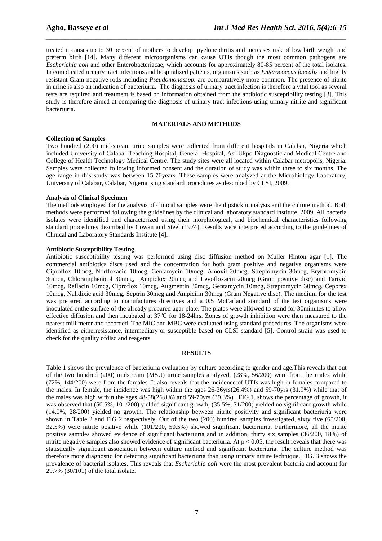treated it causes up to 30 percent of mothers to develop pyelonephritis and increases risk of low birth weight and preterm birth [14]. Many different microorganisms can cause UTIs though the most common pathogens are *Escherichia coli* and other Enterobacteriacae, which accounts for approximately 80-85 percent of the total isolates. In complicated urinary tract infections and hospitalized patients, organisms such as *Enterococcus faecalis* and highly resistant Gram-negative rods including *Pseudomonasspp.* are comparatively more common. The presence of nitrite in urine is also an indication of bacteriuria. The diagnosis of urinary tract infection is therefore a vital tool as several tests are required and treatment is based on information obtained from the antibiotic susceptibility testing [3]. This study is therefore aimed at comparing the diagnosis of urinary tract infections using urinary nitrite and significant bacteriuria.

*\_\_\_\_\_\_\_\_\_\_\_\_\_\_\_\_\_\_\_\_\_\_\_\_\_\_\_\_\_\_\_\_\_\_\_\_\_\_\_\_\_\_\_\_\_\_\_\_\_\_\_\_\_\_\_\_\_\_\_\_\_\_\_\_\_\_\_\_\_\_\_\_\_\_\_\_\_\_*

#### **MATERIALS AND METHODS**

#### **Collection of Samples**

Two hundred (200) mid-stream urine samples were collected from different hospitals in Calabar, Nigeria which included University of Calabar Teaching Hospital, General Hospital, Asi-Ukpo Diagnostic and Medical Centre and College of Health Technology Medical Centre. The study sites were all located within Calabar metropolis, Nigeria. Samples were collected following informed consent and the duration of study was within three to six months. The age range in this study was between 15-70years. These samples were analyzed at the Microbiology Laboratory, University of Calabar, Calabar, Nigeriausing standard procedures as described by CLSI, 2009.

#### **Analysis of Clinical Specimen**

The methods employed for the analysis of clinical samples were the dipstick urinalysis and the culture method. Both methods were performed following the guidelines by the clinical and laboratory standard institute, 2009. All bacteria isolates were identified and characterized using their morphological, and biochemical characteristics following standard procedures described by Cowan and Steel (1974). Results were interpreted according to the guidelines of Clinical and Laboratory Standards Institute [4].

#### **Antibiotic Susceptibility Testing**

Antibiotic susceptibility testing was performed using disc diffusion method on Muller Hinton agar [1]. The commercial antibiotics discs used and the concentration for both gram positive and negative organisms were Ciproflox 10mcg, Norfloxacin 10mcg, Gentamycin 10mcg, Amoxil 20mcg, Streptomycin 30mcg, Erythromycin 30mcg, Chloramphenicol 30mcg, Ampiclox 20mcg and Levofloxacin 20mcg (Gram positive disc) and Tarivid 10mcg, Reflacin 10mcg, Ciproflox 10mcg, Augmentin 30mcg, Gentamycin 10mcg, Streptomycin 30mcg, Ceporex 10mcg, Nalidixic acid 30mcg, Septrin 30mcg and Ampicilin 30mcg (Gram Negative disc). The medium for the test was prepared according to manufactures directives and a 0.5 McFarland standard of the test organisms were inoculated onthe surface of the already prepared agar plate. The plates were allowed to stand for 30minutes to allow effective diffusion and then incubated at  $37^{\circ}$ C for 18-24hrs. Zones of growth inhibition were then measured to the nearest millimeter and recorded. The MIC and MBC were evaluated using standard procedures. The organisms were identified as eitherresistance, intermediary or susceptible based on CLSI standard [5]. Control strain was used to check for the quality ofdisc and reagents.

#### **RESULTS**

Table 1 shows the prevalence of bacteriuria evaluation by culture according to gender and age.This reveals that out of the two hundred (200) midstream (MSU) urine samples analyzed, (28%, 56/200) were from the males while (72%, 144/200) were from the females. It also reveals that the incidence of UTIs was high in females compared to the males. In female, the incidence was high within the ages 26-36yrs(26.4%) and 59-70yrs (31.9%) while that of the males was high within the ages 48-58(26.8%) and 59-70yrs (39.3%). FIG.1. shows the percentage of growth, it was observed that (50.5%, 101/200) yielded significant growth, (35.5%, 71/200) yielded no significant growth while (14.0%, 28/200) yielded no growth. The relationship between nitrite positivity and significant bacteriuria were shown in Table 2 and FIG 2 respectively. Out of the two (200) hundred samples investigated, sixty five (65/200, 32.5%) were nitrite positive while (101/200, 50.5%) showed significant bacteriuria. Furthermore, all the nitrite positive samples showed evidence of significant bacteriuria and in addition, thirty six samples (36/200, 18%) of nitrite negative samples also showed evidence of significant bacteriuria. At  $p < 0.05$ , the result reveals that there was statistically significant association between culture method and significant bacteriuria. The culture method was therefore more diagnostic for detecting significant bacteriuria than using urinary nitrite technique. FIG. 3 shows the prevalence of bacterial isolates. This reveals that *Escherichia coli* were the most prevalent bacteria and account for 29.7% (30/101) of the total isolate.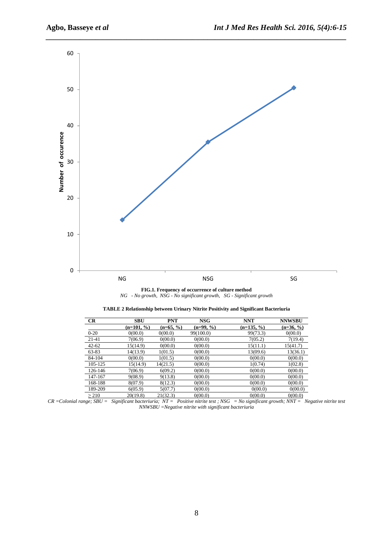

*\_\_\_\_\_\_\_\_\_\_\_\_\_\_\_\_\_\_\_\_\_\_\_\_\_\_\_\_\_\_\_\_\_\_\_\_\_\_\_\_\_\_\_\_\_\_\_\_\_\_\_\_\_\_\_\_\_\_\_\_\_\_\_\_\_\_\_\_\_\_\_\_\_\_\_\_\_\_*

#### **FIG.1. Frequency of occurrence of culture method**  *NG - No growth, NSG - No significant growth, SG - Significant growth*

| CR         | <b>SBU</b>   | <b>PNT</b>  | <b>NSG</b>  | <b>NNT</b>   | <b>NNWSBU</b> |
|------------|--------------|-------------|-------------|--------------|---------------|
|            | $(n=101, %)$ | $(n=65, %)$ | $(n=99, %)$ | $(n=135, %)$ | $(n=36, %)$   |
| $0 - 20$   | 0(00.0)      | 0(00.0)     | 99(100.0)   | 99(73.3)     | 0(00.0)       |
| $21-41$    | 7(06.9)      | 0(00.0)     | 0(00.0)     | 7(05.2)      | 7(19.4)       |
| $42 - 62$  | 15(14.9)     | 0(00.0)     | 0(00.0)     | 15(11.1)     | 15(41.7)      |
| 63-83      | 14(13.9)     | 1(01.5)     | 0(00.0)     | 13(09.6)     | 13(36.1)      |
| 84-104     | 0(00.0)      | 1(01.5)     | 0(00.0)     | 0(00.0)      | 0(00.0)       |
| 105-125    | 15(14.9)     | 14(21.5)    | 0(00.0)     | 1(0.74)      | 1(02.8)       |
| 126-146    | 7(06.9)      | 6(09.2)     | 0(00.0)     | 0(00.0)      | 0(00.0)       |
| 147-167    | 9(08.9)      | 9(13.8)     | 0(00.0)     | 0(00.0)      | 0(00.0)       |
| 168-188    | 8(07.9)      | 8(12.3)     | 0(00.0)     | 0(00.0)      | 0(00.0)       |
| 189-209    | 6(05.9)      | 5(07.7)     | 0(00.0)     | 0(00.0)      | 0(00.0)       |
| $\geq$ 210 | 20(19.8)     | 21(32.3)    | 0(00.0)     | 0(00.0)      | 0(00.0)       |

*CR =Colonial range; SBU = Significant bacteriuria; NT = Positive nitrite test ; NSG = No significant growth; NNT = Negative nitrite test NNWSBU =Negative nitrite with significant bacteriuria*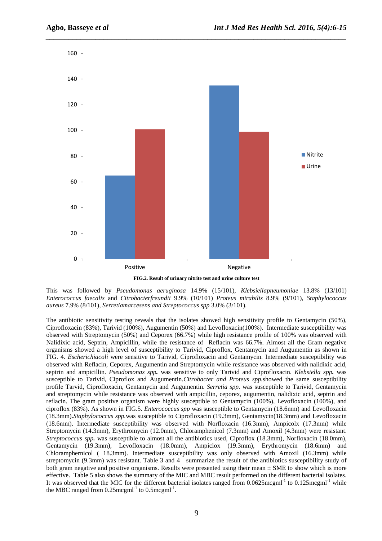

*\_\_\_\_\_\_\_\_\_\_\_\_\_\_\_\_\_\_\_\_\_\_\_\_\_\_\_\_\_\_\_\_\_\_\_\_\_\_\_\_\_\_\_\_\_\_\_\_\_\_\_\_\_\_\_\_\_\_\_\_\_\_\_\_\_\_\_\_\_\_\_\_\_\_\_\_\_\_*

**FIG.2. Result of urinary nitrite test and urine culture test** 

This was followed by *Pseudomonas aeruginosa* 14.9% (15/101), *Klebsiellapneumoniae* 13.8% (13/101) *Enterococcus faecalis* and *Citrobacterfreundii* 9.9% (10/101) *Proteus mirabilis* 8.9% (9/101), *Staphylococcus aureus* 7.9% (8/101), *Serretiamarcesens and Streptococcus spp* 3.0% (3/101).

The antibiotic sensitivity testing reveals that the isolates showed high sensitivity profile to Gentamycin (50%), Ciprofloxacin (83%), Tarivid (100%), Augumentin (50%) and Levofloxacin(100%). Intermediate susceptibility was observed with Streptomycin (50%) and Ceporex (66.7%) while high resistance profile of 100% was observed with Nalidixic acid, Septrin, Ampicillin, while the resistance of Reflacin was 66.7%. Almost all the Gram negative organisms showed a high level of susceptibility to Tarivid, Ciproflox, Gentamycin and Augumentin as shown in FIG. 4. *Escherichiacoli* were sensitive to Tarivid, Ciprofloxacin and Gentamycin. Intermediate susceptibility was observed with Reflacin, Ceporex, Augumentin and Streptomycin while resistance was observed with nalidixic acid, septrin and ampicillin. *Pseudomonas spp.* was sensitive to only Tarivid and Ciprofloxacin. *Klebsiella spp.* was susceptible to Tarivid, Ciproflox and Augumentin.*Citrobacter and Proteus spp.*showed the same susceptibility profile Tarvid, Ciprofloxacin, Gentamycin and Augumentin. *Serretia spp.* was susceptible to Tarivid, Gentamycin and streptomycin while resistance was observed with ampicillin, ceporex, augumentin, nalidixic acid, septrin and reflacin. The gram positive organism were highly susceptible to Gentamycin (100%), Levofloxacin (100%), and ciproflox (83%). As shown in FIG.5. *Enterococcus spp* was susceptible to Gentamycin (18.6mm) and Levofloxacin (18.3mm).*Staphylococcus spp.*was susceptible to Ciprofloxacin (19.3mm), Gentamycin(18.3mm) and Levofloxacin (18.6mm). Intermediate susceptibility was observed with Norfloxacin (16.3mm), Ampicolx (17.3mm) while Streptomycin (14.3mm), Erythromycin (12.0mm), Chloramphenicol (7.3mm) and Amoxil (4.3mm) were resistant. *Streptococcus spp.* was susceptible to almost all the antibiotics used, Ciproflox (18.3mm), Norfloxacin (18.0mm), Gentamycin (19.3mm), Levofloxacin (18.0mm), Ampiclox (19.3mm), Erythromycin (18.6mm) and Chloramphernicol ( 18.3mm). Intermediate susceptibility was only observed with Amoxil (16.3mm) while streptomycin (9.3mm) was resistant. Table 3 and 4 summarize the result of the antibiotics susceptibility study of both gram negative and positive organisms. Results were presented using their mean  $\pm$  SME to show which is more effective. Table 5 also shows the summary of the MIC and MBC result performed on the different bacterial isolates. It was observed that the MIC for the different bacterial isolates ranged from  $0.0625$ mcgml<sup>-1</sup> to  $0.125$ mcgml<sup>-1</sup> while the MBC ranged from  $0.25$  mcgml<sup>-1</sup> to  $0.5$  mcgml<sup>-1</sup>.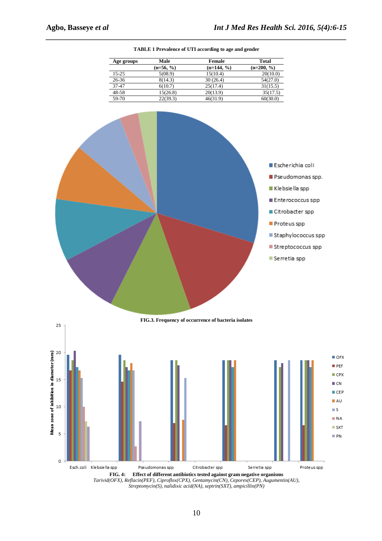

*\_\_\_\_\_\_\_\_\_\_\_\_\_\_\_\_\_\_\_\_\_\_\_\_\_\_\_\_\_\_\_\_\_\_\_\_\_\_\_\_\_\_\_\_\_\_\_\_\_\_\_\_\_\_\_\_\_\_\_\_\_\_\_\_\_\_\_\_\_\_\_\_\_\_\_\_\_\_* **TABLE 1 Prevalence of UTI according to age and gender** 

**Age groups Male Female Total**<br>(n=56, %) **Female Total**<br>(n=200, %)

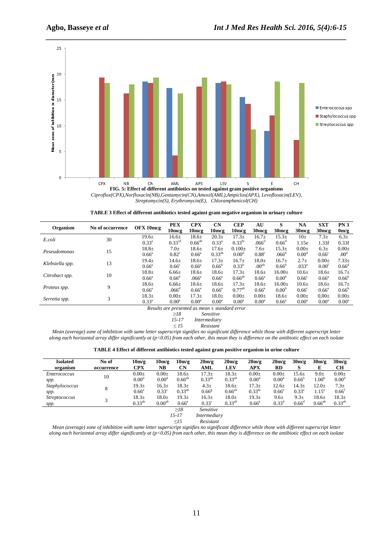

*\_\_\_\_\_\_\_\_\_\_\_\_\_\_\_\_\_\_\_\_\_\_\_\_\_\_\_\_\_\_\_\_\_\_\_\_\_\_\_\_\_\_\_\_\_\_\_\_\_\_\_\_\_\_\_\_\_\_\_\_\_\_\_\_\_\_\_\_\_\_\_\_\_\_\_\_\_\_*

*Ciproflox(CPX),Norfloxacin(NB),Gentamycin(CN),Amoxil(AML),Ampiclox(APX), Levofloxacin(LEV), Streptomycin(S), Erythromycin(E), Chloramphenicol(CH)* 

| TABLE 3 Effect of different antibiotics tested against gram negative organism in urinary culture |  |  |
|--------------------------------------------------------------------------------------------------|--|--|
|                                                                                                  |  |  |

|                 | No of occurrence | OFX 10mcg      | <b>PEX</b>         | <b>CPX</b>        | CN                | <b>CEP</b>        | AU                | S                 | NA                | <b>SXT</b>        | PN3               |
|-----------------|------------------|----------------|--------------------|-------------------|-------------------|-------------------|-------------------|-------------------|-------------------|-------------------|-------------------|
| Organism        |                  |                | 10 <sub>mcg</sub>  | 10mcg             | 10 <sub>mcg</sub> | 10 <sub>mcg</sub> | $30 \text{mcg}$   | 30 <sub>mcg</sub> | 30 <sub>mcg</sub> | $30 \text{mcg}$   | 0m/g              |
| E.coli          | 30               | $19.6 \pm$     | 16.6±              | $18.6+$           | 20.3 <sub>±</sub> | $17.3+$           | $16.7\pm$         | $15.3+$           | $10+$             | 7.3 <sub>±</sub>  | $6.3+$            |
|                 |                  | $0.33^a$       | 0.33 <sup>cd</sup> | $0.66^{ab}$       | $0.33^{\rm a}$    | $0.33^{bc}$       | .066 <sup>d</sup> | 0.66 <sup>d</sup> | 1.15e             | 1.33f             | 0.33f             |
| Peseudomonas    | 15               | $18.8 +$       | $7.0\pm$           | $18.6+$           | $17.6+$           | $0.100+$          | $7.6 +$           | $15.3+$           | $0.00+$           | 6.3 <sub>±</sub>  | $0.00 \pm$        |
|                 |                  | $0.66^{\circ}$ | $0.82^{\circ}$     | $0.66^{\circ}$    | $0.33^{ab}$       | 0.00 <sup>d</sup> | 0.88 <sup>c</sup> | .066 <sup>b</sup> | 0.00 <sup>d</sup> | 0.66 <sup>c</sup> | .00 <sup>d</sup>  |
|                 | 13               | $19.4 \pm$     | $14.6 \pm$         | $18.6\pm$         | $17.3+$           | $16.7+$           | $18.0+$           | $16.7+$           | $2.7 +$           | $0.00 \pm$        | $7.33+$           |
| Klebsiella spp. |                  | $0.66^{\circ}$ | 0.66 <sup>c</sup>  | $0.66^{\circ}$    | $0.66^{\circ}$    | $0.33^{b}$        | .00 <sup>ab</sup> | $0.66^{\circ}$    | .033 <sup>e</sup> | $0.00^{t}$        | $0.66^d$          |
| Citrobact spp.  | 10               | $18.8 +$       | $6.66 \pm$         | $18.6\pm$         | 18.6±             | $17.3+$           | 18.6±             | $16.00+$          | $10.6+$           | $18.6 \pm$        | $16.7\pm$         |
|                 |                  | $0.66^{\circ}$ | $0.66^{\circ}$     | .066 <sup>a</sup> | $0.66^{\circ}$    | $0.66^{ab}$       | $0.66^{\circ}$    | 0.00 <sup>b</sup> | $0.66^{\circ}$    | $0.66^{\circ}$    | $0.66^{b}$        |
| Proteus spp.    | 9                | $18.6\pm$      | $6.66 \pm$         | $18.6\pm$         | $18.6\pm$         | $17.3+$           | $18.6+$           | $16.00+$          | $10.6\pm$         | $18.6\pm$         | $16.7\pm$         |
|                 |                  | $0.66^{\circ}$ | .066 <sup>d</sup>  | $0.66^{\circ}$    | $0.66^{\circ}$    | $0.77^{ab}$       | $0.66^{\circ}$    | 0.00 <sup>b</sup> | $0.66^{\circ}$    | $0.66^{\circ}$    | $0.66^{b}$        |
| Serretia spp.   | 3                | $18.3+$        | $0.00 \pm$         | $17.3+$           | $18.0+$           | $0.00+$           | $0.00 \pm$        | $18.6 \pm$        | $0.00 \pm$        | $0.00 \pm$        | $0.00 \pm$        |
|                 |                  | $0.33^{a}$     | 0.00 <sup>a</sup>  | 0.00 <sup>a</sup> | 0.00 <sup>a</sup> | 0.00 <sup>a</sup> | 0.00 <sup>a</sup> | $0.66^{\circ}$    | 0.00 <sup>a</sup> | 0.00 <sup>a</sup> | 0.00 <sup>a</sup> |

*Results are presented as mean ± standard error* 

*≥18 Sensitive* 

*15-17 Intermediary ≤ 15 Resistant* 

*Mean (average) zone of inhibition with same letter superscript signifies no significant difference while those with different superscript letter along each horizontal array differ significantly at (p<0.05) from each other, this mean they is difference on the antibiotic effect on each isolate* 

| TABLE 4 Effect of different antibiotics tested against gram positive organism in urine culture |  |  |  |
|------------------------------------------------------------------------------------------------|--|--|--|
|------------------------------------------------------------------------------------------------|--|--|--|

| <b>Isolated</b><br>organism | No of<br>occurrence     | 10m/g<br><b>CPX</b> | 10m/g<br>NB        | 10m/g<br>CN       | 20m/g<br>AML        | 20m/g<br>LEV | 20m/g<br><b>APX</b> | 20m/g<br><b>RD</b> | 30m/g<br>S        | 30m/g<br>E  | 30m/g<br>CН       |
|-----------------------------|-------------------------|---------------------|--------------------|-------------------|---------------------|--------------|---------------------|--------------------|-------------------|-------------|-------------------|
| <i>Enterococcus</i>         | 10                      | $0.00 \pm$          | $0.00 \pm$         | $18.6\pm$         | $17.3+$             | $18.3\pm$    | $0.00 \pm$          | $0.00 \pm$         | $15.6\pm$         | $9.0\pm$    | $0.00 \pm$        |
| spp.                        |                         | 0.00 <sup>d</sup>   | 0.00 <sup>d</sup>  | $0.66^{ab}$       | $0.33^{ab}$         | $0.33^{ab}$  | 0.00 <sup>d</sup>   | 0.00 <sup>d</sup>  | $0.66^{\circ}$    | $1.00^b$    | 0.00 <sup>d</sup> |
| Staphylococcus              |                         | 19.3 <sub>±</sub>   | $16.3+$            | $18.3\pm$         | 4.3 <sub>±</sub>    | $18.6\pm$    | $17.3\pm$           | $12.6 \pm$         | 14.3 <sub>±</sub> | $12.0 \pm$  | 7.3 <sub>±</sub>  |
| spp.                        | 8                       | $0.66^{\circ}$      | $0.33^{\circ}$     | $0.33^{ab}$       | 0.66 <sup>g</sup>   | $0.66^{ab}$  | $0.33^{bc}$         | 0.66 <sup>e</sup>  | $0.33^e$          | $1.15^e$    | $0.66^{\text{t}}$ |
| <i>Streptococcus</i>        | $\mathbf{\overline{3}}$ | $18.3+$             | $18.0 \pm$         | 19.3 <sub>±</sub> | 16.3 <sub>±</sub>   | $18.0\pm$    | 19.3 <sub>±</sub>   | $9.6 +$            | 9.3 <sub>±</sub>  | 18.6±       | 18.3 <sub>±</sub> |
| spp.                        |                         | $0.33^{ab}$         | 0.00 <sup>ab</sup> | $0.66^{\circ}$    | $0.33^{\circ}$      | $0.33^{ab}$  | $0.66^{\circ}$      | $0.33^d$           | $0.66^{\circ}$    | $0.66^{ab}$ | $0.33^{ab}$       |
|                             |                         |                     |                    | $\geq$ 18         | <b>Sensitive</b>    |              |                     |                    |                   |             |                   |
|                             |                         |                     |                    | $15 - 17$         | <i>Intermediary</i> |              |                     |                    |                   |             |                   |

*≤15 Resistant* 

*Mean (average) zone of inhibition with same letter superscript signifies no significant difference while those with different superscript letter along each horizontal array differ significantly at (p<0.05) from each other, this mean they is difference on the antibiotic effect on each isolate*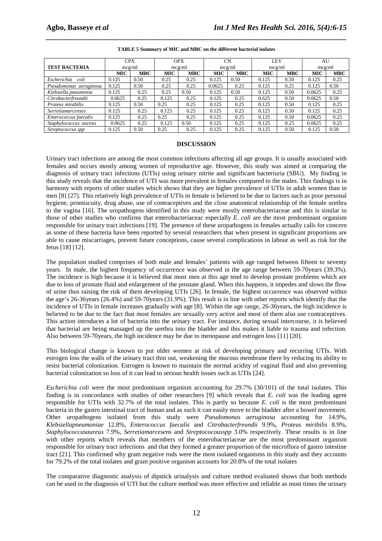|                          | <b>CPX</b> |            | <b>OFX</b> |            | <b>CN</b>  |            | LEV        |            | AU         |            |
|--------------------------|------------|------------|------------|------------|------------|------------|------------|------------|------------|------------|
| <b>TEST BACTERIA</b>     | mcg/ml     |            | mcg/ml     |            | mcg/ml     |            | mcg/ml     |            | mcg/ml     |            |
|                          | <b>MIC</b> | <b>MBC</b> | <b>MIC</b> | <b>MBC</b> | <b>MIC</b> | <b>MBC</b> | <b>MIC</b> | <b>MBC</b> | <b>MIC</b> | <b>MBC</b> |
| Escherichia<br>coli      | 0.125      | 0.50       | 0.25       | 0.25       | 0.125      | 0.50       | 0.125      | 0.50       | 0.125      | 0.25       |
| Pseudomonas aeruginosa   | 0.125      | 0.50       | 0.25       | 0.25       | 0.0625     | 0.25       | 0.125      | 0.25       | 0.125      | 0.50       |
| Klebsiella pneumonia     | 0.125      | 0.25       | 0.25       | 0.50       | 0.125      | 0.50       | 0.125      | 0.50       | 0.0625     | 0.25       |
| Citrobacterfreundii      | 0.0625     | 0.25       | 0.125      | 0.25       | 0.125      | 0.25       | 0.625      | 0.50       | 0.0625     | 0.50       |
| Proteus mirabilis        | 0.125      | 0.50       | 0.25       | 0.25       | 0.125      | 0.25       | 0.125      | 0.50       | 0.125      | 0.25       |
| <b>Serretiamarcenses</b> | 0.125      | 0.25       | 0.125      | 0.25       | 0.125      | 0.25       | 0.125      | 0.50       | 0.125      | 0.25       |
| Enterococcus faecalis    | 0.125      | 0.25       | 0.25       | 0.25       | 0.125      | 0.25       | 0.125      | 0.50       | 0.0625     | 0.25       |
| Staphylococcus aureus    | 0.0625     | 0.25       | 0.125      | 0.50       | 0.125      | 0.25       | 0.125      | 0.25       | 0.0625     | 0.25       |
| Streptococcus spp        | 0.125      | 0.50       | 0.25       | 0.25       | 0.125      | 0.25       | 0.125      | 0.50       | 0.125      | 0.50       |

# *\_\_\_\_\_\_\_\_\_\_\_\_\_\_\_\_\_\_\_\_\_\_\_\_\_\_\_\_\_\_\_\_\_\_\_\_\_\_\_\_\_\_\_\_\_\_\_\_\_\_\_\_\_\_\_\_\_\_\_\_\_\_\_\_\_\_\_\_\_\_\_\_\_\_\_\_\_\_* **TABLE 5 Summary of MIC and MBC on the different bacterial isolates**

#### **DISCUSSION**

Urinary tract infections are among the most common infections affecting all age groups. It is usually associated with females and occurs mostly among women of reproductive age. However, this study was aimed at comparing the diagnosis of urinary tract infections (UTIs) using urinary nitrite and significant bacteriuria (SBU). My finding in this study reveals that the incidence of UTI was more prevalent in females compared to the males. This findings is in harmony with reports of other studies which shows that they are higher prevalence of UTIs in adult women than in men [8] [27]. This relatively high prevalence of UTIs in female is believed to be due to factors such as poor personal hygiene, promiscuity, drug abuse, use of contraceptives and the close anatomical relationship of the female urethra to the vagina [16]. The uropathogens identified in this study were mostly enterobacteriaceae and this is similar to those of other studies who confirms that enterobacteriaceac especially *E. coli* are the most predominant organism responsible for urinary tract infections [19]. The presence of these uropathogens in females actually calls for concern as some of these bacteria have been reported by several researchers that when present in significant proportions are able to cause miscarriages, prevent future conceptions, cause several complications in labour as well as risk for the fetus [18] [12].

The population studied comprises of both male and females' patients with age ranged between fifteen to seventy years. In male, the highest frequency of occurrence was observed in the age range between 59-70years (39.3%). The incidence is high because it is believed that most men at this age tend to develop prostate problems which are due to loss of prostate fluid and enlargement of the prostate gland. When this happens, it impedes and slows the flow of urine thus raising the risk of them developing UTIs [26]. In female, the highest occurrence was observed within the age's 26-36years (26.4%) and 59-70years (31.9%). This result is in line with other reports which identify that the incidence of UTIs in female increases gradually with age [8]. Within the age range, 26-36years, the high incidence is believed to be due to the fact that most females are sexually very active and most of them also use contraceptives. This action introduces a lot of bacteria into the urinary tract. For instance, during sexual intercourse, it is believed that bacterial are being massaged up the urethra into the bladder and this makes it liable to trauma and infection. Also between 59-70years, the high incidence may be due to menopause and estrogen loss [11] [20].

This biological change is known to put older women at risk of developing primary and recurring UTIs. With estrogen loss the walls of the urinary tract thin out, weakening the mucous membrane there by reducing its ability to resist bacterial colonization. Estrogen is known to maintain the normal acidity of vaginal fluid and also preventing bacterial colonization so loss of it can lead to serious health issues such as UTIs [24].

*Escherichia coli* were the most predominant organism accounting for 29.7% (30/101) of the total isolates. This finding is in concordance with studies of other researchers [9] which reveals that *E. coli* was the leading agent responsible for UTIs with 32.7% of the total isolates. This is partly so because *E. coli* is the most predominant bacteria in the gastro intestinal tract of human and as such it can easily move to the bladder after a bowel movement. Other uropathogens isolated from this study were *Pseudomonas aeruginosa* accounting for 14.9%, *Klebsiellapneumoniae* 12.8%, *Enterococcus faecalis* and *Citrobacterfreundii* 9.9%, *Proteus miribilis* 8.9%, *Staphylococcusaureus* 7.9%, *Serretiamarcesens* and *Streptococousspp* 3.0% respectively. These results is in line with other reports which reveals that members of the enterobacteriaceae are the most predominant organism responsible for urinary tract infections and that they formed a greater proportion of the microflora of gastro intestine tract [21]. This confirmed why gram negative rods were the most isolated organisms in this study and they accounts for 79.2% of the total isolates and gram positive organism accounts for 20.8% of the total isolates

The comparative diagnostic analysis of dipstick urinalysis and culture method evaluated shows that both methods can be used in the diagnosis of UTI but the culture method was more effective and reliable as most times the urinary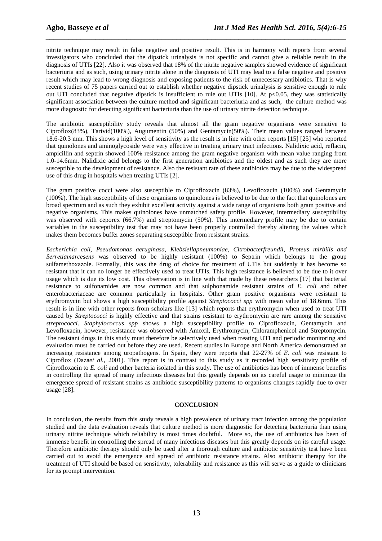nitrite technique may result in false negative and positive result. This is in harmony with reports from several investigators who concluded that the dipstick urinalysis is not specific and cannot give a reliable result in the diagnosis of UTIs [22]. Also it was observed that 18% of the nitrite negative samples showed evidence of significant bacteriuria and as such, using urinary nitrite alone in the diagnosis of UTI may lead to a false negative and positive result which may lead to wrong diagnosis and exposing patients to the risk of unnecessary antibiotics. That is why recent studies of 75 papers carried out to establish whether negative dipstick urinalysis is sensitive enough to rule out UTI concluded that negative dipstick is insufficient to rule out UTIs [10]. At  $p<0.05$ , they was statistically significant association between the culture method and significant bacteriuria and as such, the culture method was more diagnostic for detecting significant bacteriuria than the use of urinary nitrite detection technique.

*\_\_\_\_\_\_\_\_\_\_\_\_\_\_\_\_\_\_\_\_\_\_\_\_\_\_\_\_\_\_\_\_\_\_\_\_\_\_\_\_\_\_\_\_\_\_\_\_\_\_\_\_\_\_\_\_\_\_\_\_\_\_\_\_\_\_\_\_\_\_\_\_\_\_\_\_\_\_*

The antibiotic susceptibility study reveals that almost all the gram negative organisms were sensitive to Ciproflox(83%), Tarivid(100%), Augumentin (50%) and Gentamycin(50%). Their mean values ranged between 18.6-20.3 mm. This shows a high level of sensitivity as the result is in line with other reports [15] [25] who reported that quinolones and aminoglycoside were very effective in treating urinary tract infections. Nalidixic acid, reflacin, ampicillin and septrin showed 100% resistance among the gram negative organism with mean value ranging from 1.0-14.6mm. Nalidixic acid belongs to the first generation antibiotics and the oldest and as such they are more susceptible to the development of resistance. Also the resistant rate of these antibiotics may be due to the widespread use of this drug in hospitals when treating UTIs [2].

The gram positive cocci were also susceptible to Ciprofloxacin (83%), Levofloxacin (100%) and Gentamycin (100%). The high susceptibility of these organisms to quinolones is believed to be due to the fact that quinolones are broad spectrum and as such they exhibit excellent activity against a wide range of organisms both gram positive and negative organisms. This makes quinolones have unmatched safety profile. However, intermediary susceptibility was observed with ceporex (66.7%) and streptomycin (50%). This intermediary profile may be due to certain variables in the susceptibility test that may not have been properly controlled thereby altering the values which makes them becomes buffer zones separating susceptible from resistant strains.

*Escherichia coli, Pseudomonas aeruginasa, Klebsiellapneumoniae, Citrobacterfreundii, Proteus mirbilis and Serretiamarcesens* was observed to be highly resistant (100%) to Septrin which belongs to the group sulfamethoxazole. Formally, this was the drug of choice for treatment of UTIs but suddenly it has become so resistant that it can no longer be effectively used to treat UTIs. This high resistance is believed to be due to it over usage which is due its low cost. This observation is in line with that made by these researchers [17] that bacterial resistance to sulfonamides are now common and that sulphonamide resistant strains of *E. coli* and other enterobacteriaceac are common particularly in hospitals. Other gram positive organisms were resistant to erythromycin but shows a high susceptibility profile against *Streptococci spp* with mean value of 18.6mm. This result is in line with other reports from scholars like [13] which reports that erythromycin when used to treat UTI caused by *Streptococci* is highly effective and that strains resistant to erythromycin are rare among the sensitive *streptococci*. *Staphylococcus spp* shows a high susceptibility profile to Ciprofloxacin, Gentamycin and Levofloxacin, however, resistance was observed with Amoxil, Erythromycin, Chloramphenicol and Streptomycin. The resistant drugs in this study must therefore be selectively used when treating UTI and periodic monitoring and evaluation must be carried out before they are used. Recent studies in Europe and North America demonstrated an increasing resistance among uropathogens. In Spain, they were reports that 22-27% of *E. coli* was resistant to Ciproflox (Daza*et al.*, 2001). This report is in contrast to this study as it recorded high sensitivity profile of Ciprofloxacin to *E. coli* and other bacteria isolated in this study. The use of antibiotics has been of immense benefits in controlling the spread of many infectious diseases but this greatly depends on its careful usage to minimize the emergence spread of resistant strains as antibiotic susceptibility patterns to organisms changes rapidly due to over usage [28].

### **CONCLUSION**

In conclusion, the results from this study reveals a high prevalence of urinary tract infection among the population studied and the data evaluation reveals that culture method is more diagnostic for detecting bacteriuria than using urinary nitrite technique which reliability is most times doubtful. More so, the use of antibiotics has been of immense benefit in controlling the spread of many infectious diseases but this greatly depends on its careful usage. Therefore antibiotic therapy should only be used after a thorough culture and antibiotic sensitivity test have been carried out to avoid the emergence and spread of antibiotic resistance strains. Also antibiotic therapy for the treatment of UTI should be based on sensitivity, tolerability and resistance as this will serve as a guide to clinicians for its prompt intervention.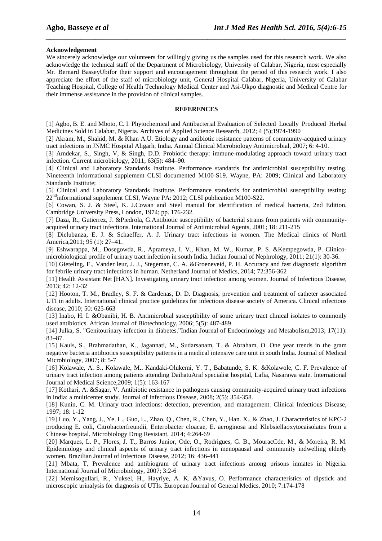#### **Acknowledgement**

We sincerely acknowledge our volunteers for willingly giving us the samples used for this research work. We also acknowledge the technical staff of the Department of Microbiology, University of Calabar, Nigeria, most especially Mr. Bernard BasseyUbifor their support and encouragement throughout the period of this research work. I also appreciate the effort of the staff of microbiology unit, General Hospital Calabar, Nigeria, University of Calabar Teaching Hospital, College of Health Technology Medical Center and Asi-Ukpo diagnostic and Medical Centre for their immense assistance in the provision of clinical samples.

*\_\_\_\_\_\_\_\_\_\_\_\_\_\_\_\_\_\_\_\_\_\_\_\_\_\_\_\_\_\_\_\_\_\_\_\_\_\_\_\_\_\_\_\_\_\_\_\_\_\_\_\_\_\_\_\_\_\_\_\_\_\_\_\_\_\_\_\_\_\_\_\_\_\_\_\_\_\_*

### **REFERENCES**

[1] Agbo, B. E. and Mboto, C. I. Phytochemical and Antibacterial Evaluation of Selected Locally Produced Herbal Medicines Sold in Calabar, Nigeria. Archives of Applied Science Research, 2012; 4 (5);1974-1990

[2] Akram, M., Shahid, M. & Khan A.U. Etiology and antibiotic resistance patterns of community-acquired urinary tract infections in JNMC Hospital Aligarh, India. Annual Clinical Microbiology Antimicrobial, 2007; 6: 4-10.

[3] Amdekar, S., Singh, V, & Singh, D.D. Probiotic therapy: immune-modulating approach toward urinary tract infection. Current microbiology, 2011; 63(5): 484–90.

[4] Clinical and Laboratory Standards Institute. Performance standards for antimicrobial susceptibility testing. Nineteenth informational supplement CLSI documented M100-S19. Wayne, PA: 2009; Clinical and Laboratory Standards Institute;

[5] Clinical and Laboratory Standards Institute. Performance standards for antimicrobial susceptibility testing; 22<sup>nd</sup>informational supplement CLSI, Wayne PA: 2012; CLSI publication M100-S22.

[6] Cowan, S. J. & Steel, K. J.Cowan and Steel manual for identification of medical bacteria, 2nd Edition. Cambridge University Press, London, 1974; pp. 176-232.

[7] Daza, R., Gutierrez, J. &Piedrola, G.Antibiotic susceptibility of bacterial strains from patients with communityacquired urinary tract infections. International Journal of Antimicrobial Agents, 2001; 18: 211-215

[8] Dielubanza, E. J. & Schaeffer, A. J. Urinary tract infections in women. The Medical clinics of North America,2011; 95 (1): 27–41.

[9] Eshwarappa, M., Dosegowda, R., Aprameya, I. V., Khan, M. W., Kumar, P. S. &Kempegowda, P. Clinicomicrobiological profile of urinary tract infection in south India. Indian Journal of Nephrology, 2011; 21(1): 30-36.

[10] Gieteling, E., Vander leur, J. J., Stegeman, C. A. &Groeneveid, P. H. Accuracy and fast diagnostic algorithm for febrile urinary tract infections in human. Netherland Journal of Medics, 2014; 72:356-362

[11] Health Assistant Net [HAN]. Investigating urinary tract infection among women. Journal of Infectious Disease, 2013; 42: 12-32

[12] Hooton, T. M., Bradley, S. F. & Cardenas, D. D. Diagnosis, prevention and treatment of catheter associated UTI in adults. International clinical practice guidelines for infectious disease society of America. Clinical infectious disease, 2010; 50: 625-663

[13] Inabo, H. I. &Obanibi, H. B. Antimicrobial susceptibility of some urinary tract clinical isolates to commonly used antibiotics. African Journal of Biotechnology, 2006; 5(5): 487-489

[14] Julka, S. "Genitourinary infection in diabetes."Indian Journal of Endocrinology and Metabolism,2013; 17(11): 83–87.

[15] Kauls, S., Brahmadathan, K., Jagannati, M., Sudarsanam, T. & Abraham, O. One year trends in the gram negative bacteria antibiotics susceptibility patterns in a medical intensive care unit in south India. Journal of Medical Microbiology, 2007; 8: 5-7

[16] Kolawale, A. S., Kolawale, M., Kandaki-Olukemi, Y. T., Babatunde, S. K. &Kolawole, C. F. Prevalence of urinary tract infection among patients attending DaihatuAraf specialist hospital, Lafia, Nasarawa state. International Journal of Medical Science,2009; 1(5): 163-167

[17] Kothari, A. &Sagar, V. Antibiotic resistance in pathogens causing community-acquired urinary tract infections in India: a multicenter study. Journal of Infectious Disease, 2008; 2(5): 354-358.

[18] Kunin, C. M. Urinary tract infections: detection, prevention, and management. Clinical Infectious Disease, 1997; 18: 1-12

[19] Luo, Y., Yang, J., Ye, L., Guo, L., Zhao, Q., Chen, R., Chen, Y., Han. X., & Zhao, J. Characteristics of KPC-2 producing E. coli, Citrobacterfreundii, Enterobacter cloacae, E. aeroginosa and Klebsiellaoxytocaisolates from a Chinese hospital. Microbiology Drug Resistant, 2014; 4:264-69

[20] Marques, L. P., Flores, J. T., Barros Junior, Ode, O., Rodrigues, G. B., MouracCde, M., & Moreira, R. M. Epidemiology and clinical aspects of urinary tract infections in menopausal and community indwelling elderly women. Brazilian Journal of Infectious Disease, 2012; 16: 436-441

[21] Mbata, T. Prevalence and antibiogram of urinary tract infections among prisons inmates in Nigeria. International Journal of Microbiology, 2007; 3:2-6

[22] Memisogullari, R., Yuksel, H., Hayriye, A. K. &Yavus, O. Performance characteristics of dipstick and microscopic urinalysis for diagnosis of UTIs. European Journal of General Medics, 2010; 7:174-178